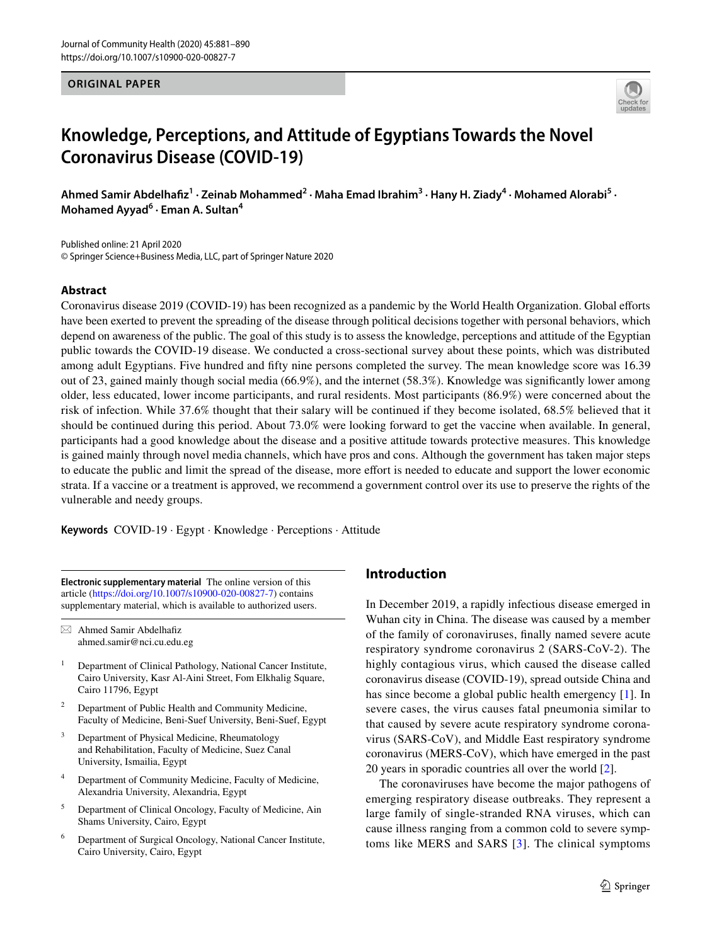**ORIGINAL PAPER**



# **Knowledge, Perceptions, and Attitude of Egyptians Towards the Novel Coronavirus Disease (COVID‑19)**

Ahmed Samir Abdelhafiz<sup>1</sup> · Zeinab Mohammed<sup>2</sup> · Maha Emad Ibrahim<sup>3</sup> · Hany H. Ziady<sup>4</sup> · Mohamed Alorabi<sup>5</sup> · **Mohamed Ayyad6 · Eman A. Sultan4**

Published online: 21 April 2020 © Springer Science+Business Media, LLC, part of Springer Nature 2020

# **Abstract**

Coronavirus disease 2019 (COVID-19) has been recognized as a pandemic by the World Health Organization. Global eforts have been exerted to prevent the spreading of the disease through political decisions together with personal behaviors, which depend on awareness of the public. The goal of this study is to assess the knowledge, perceptions and attitude of the Egyptian public towards the COVID-19 disease. We conducted a cross-sectional survey about these points, which was distributed among adult Egyptians. Five hundred and ffty nine persons completed the survey. The mean knowledge score was 16.39 out of 23, gained mainly though social media (66.9%), and the internet (58.3%). Knowledge was signifcantly lower among older, less educated, lower income participants, and rural residents. Most participants (86.9%) were concerned about the risk of infection. While 37.6% thought that their salary will be continued if they become isolated, 68.5% believed that it should be continued during this period. About 73.0% were looking forward to get the vaccine when available. In general, participants had a good knowledge about the disease and a positive attitude towards protective measures. This knowledge is gained mainly through novel media channels, which have pros and cons. Although the government has taken major steps to educate the public and limit the spread of the disease, more efort is needed to educate and support the lower economic strata. If a vaccine or a treatment is approved, we recommend a government control over its use to preserve the rights of the vulnerable and needy groups.

**Keywords** COVID-19 · Egypt · Knowledge · Perceptions · Attitude

**Electronic supplementary material** The online version of this article [\(https://doi.org/10.1007/s10900-020-00827-7\)](https://doi.org/10.1007/s10900-020-00827-7) contains supplementary material, which is available to authorized users.

 $\boxtimes$  Ahmed Samir Abdelhafiz ahmed.samir@nci.cu.edu.eg

- <sup>1</sup> Department of Clinical Pathology, National Cancer Institute, Cairo University, Kasr Al-Aini Street, Fom Elkhalig Square, Cairo 11796, Egypt
- <sup>2</sup> Department of Public Health and Community Medicine, Faculty of Medicine, Beni-Suef University, Beni-Suef, Egypt
- <sup>3</sup> Department of Physical Medicine, Rheumatology and Rehabilitation, Faculty of Medicine, Suez Canal University, Ismailia, Egypt
- <sup>4</sup> Department of Community Medicine, Faculty of Medicine, Alexandria University, Alexandria, Egypt
- <sup>5</sup> Department of Clinical Oncology, Faculty of Medicine, Ain Shams University, Cairo, Egypt
- <sup>6</sup> Department of Surgical Oncology, National Cancer Institute, Cairo University, Cairo, Egypt

# **Introduction**

In December 2019, a rapidly infectious disease emerged in Wuhan city in China. The disease was caused by a member of the family of coronaviruses, fnally named severe acute respiratory syndrome coronavirus 2 (SARS-CoV-2). The highly contagious virus, which caused the disease called coronavirus disease (COVID-19), spread outside China and has since become a global public health emergency [[1](#page-8-0)]. In severe cases, the virus causes fatal pneumonia similar to that caused by severe acute respiratory syndrome coronavirus (SARS-CoV), and Middle East respiratory syndrome coronavirus (MERS-CoV), which have emerged in the past 20 years in sporadic countries all over the world [\[2](#page-8-1)].

The coronaviruses have become the major pathogens of emerging respiratory disease outbreaks. They represent a large family of single-stranded RNA viruses, which can cause illness ranging from a common cold to severe symptoms like MERS and SARS [[3](#page-8-2)]. The clinical symptoms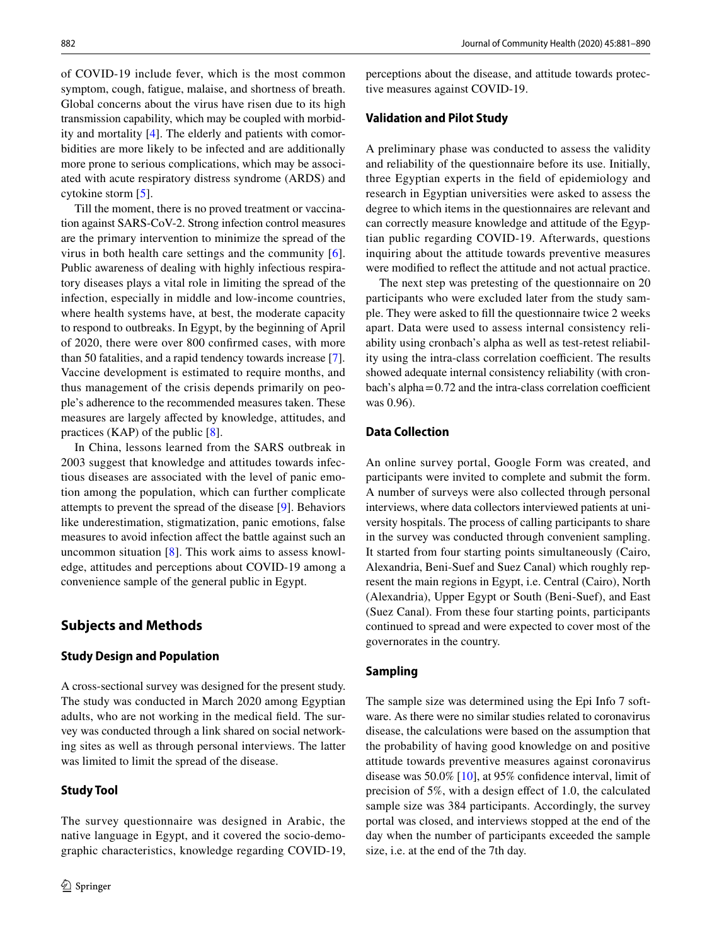of COVID-19 include fever, which is the most common symptom, cough, fatigue, malaise, and shortness of breath. Global concerns about the virus have risen due to its high transmission capability, which may be coupled with morbidity and mortality [\[4](#page-8-3)]. The elderly and patients with comorbidities are more likely to be infected and are additionally more prone to serious complications, which may be associated with acute respiratory distress syndrome (ARDS) and cytokine storm [\[5](#page-8-4)].

Till the moment, there is no proved treatment or vaccination against SARS-CoV-2. Strong infection control measures are the primary intervention to minimize the spread of the virus in both health care settings and the community [[6](#page-8-5)]. Public awareness of dealing with highly infectious respiratory diseases plays a vital role in limiting the spread of the infection, especially in middle and low-income countries, where health systems have, at best, the moderate capacity to respond to outbreaks. In Egypt, by the beginning of April of 2020, there were over 800 confrmed cases, with more than 50 fatalities, and a rapid tendency towards increase [\[7](#page-8-6)]. Vaccine development is estimated to require months, and thus management of the crisis depends primarily on people's adherence to the recommended measures taken. These measures are largely afected by knowledge, attitudes, and practices (KAP) of the public [[8\]](#page-8-7).

In China, lessons learned from the SARS outbreak in 2003 suggest that knowledge and attitudes towards infectious diseases are associated with the level of panic emotion among the population, which can further complicate attempts to prevent the spread of the disease [\[9](#page-8-8)]. Behaviors like underestimation, stigmatization, panic emotions, false measures to avoid infection affect the battle against such an uncommon situation [\[8](#page-8-7)]. This work aims to assess knowledge, attitudes and perceptions about COVID-19 among a convenience sample of the general public in Egypt.

## **Subjects and Methods**

#### **Study Design and Population**

A cross-sectional survey was designed for the present study. The study was conducted in March 2020 among Egyptian adults, who are not working in the medical feld. The survey was conducted through a link shared on social networking sites as well as through personal interviews. The latter was limited to limit the spread of the disease.

### **Study Tool**

perceptions about the disease, and attitude towards protective measures against COVID-19.

# **Validation and Pilot Study**

A preliminary phase was conducted to assess the validity and reliability of the questionnaire before its use. Initially, three Egyptian experts in the feld of epidemiology and research in Egyptian universities were asked to assess the degree to which items in the questionnaires are relevant and can correctly measure knowledge and attitude of the Egyptian public regarding COVID-19. Afterwards, questions inquiring about the attitude towards preventive measures were modifed to refect the attitude and not actual practice.

The next step was pretesting of the questionnaire on 20 participants who were excluded later from the study sample. They were asked to fll the questionnaire twice 2 weeks apart. Data were used to assess internal consistency reliability using cronbach's alpha as well as test-retest reliability using the intra-class correlation coefficient. The results showed adequate internal consistency reliability (with cron $bach's alpha = 0.72$  and the intra-class correlation coefficient was 0.96).

# **Data Collection**

An online survey portal, Google Form was created, and participants were invited to complete and submit the form. A number of surveys were also collected through personal interviews, where data collectors interviewed patients at university hospitals. The process of calling participants to share in the survey was conducted through convenient sampling. It started from four starting points simultaneously (Cairo, Alexandria, Beni-Suef and Suez Canal) which roughly represent the main regions in Egypt, i.e. Central (Cairo), North (Alexandria), Upper Egypt or South (Beni-Suef), and East (Suez Canal). From these four starting points, participants continued to spread and were expected to cover most of the governorates in the country.

#### **Sampling**

The sample size was determined using the Epi Info 7 software. As there were no similar studies related to coronavirus disease, the calculations were based on the assumption that the probability of having good knowledge on and positive attitude towards preventive measures against coronavirus disease was 50.0% [[10\]](#page-8-9), at 95% confdence interval, limit of precision of 5%, with a design efect of 1.0, the calculated sample size was 384 participants. Accordingly, the survey portal was closed, and interviews stopped at the end of the day when the number of participants exceeded the sample size, i.e. at the end of the 7th day.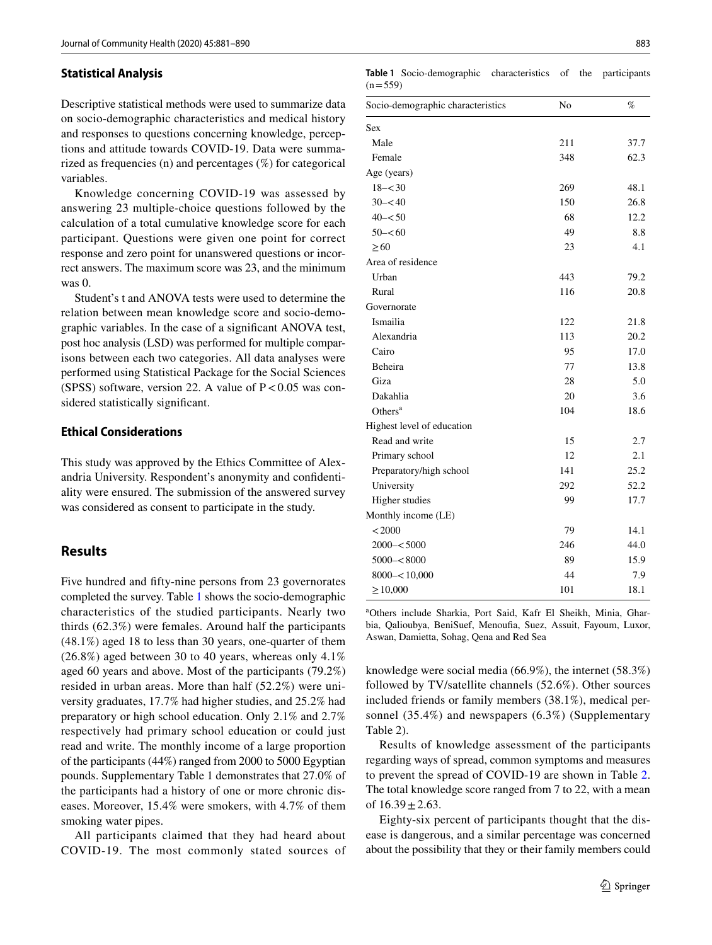#### **Statistical Analysis**

Descriptive statistical methods were used to summarize data on socio-demographic characteristics and medical history and responses to questions concerning knowledge, perceptions and attitude towards COVID-19. Data were summarized as frequencies (n) and percentages (%) for categorical variables.

Knowledge concerning COVID-19 was assessed by answering 23 multiple-choice questions followed by the calculation of a total cumulative knowledge score for each participant. Questions were given one point for correct response and zero point for unanswered questions or incorrect answers. The maximum score was 23, and the minimum was  $0$ .

Student's t and ANOVA tests were used to determine the relation between mean knowledge score and socio-demographic variables. In the case of a signifcant ANOVA test, post hoc analysis (LSD) was performed for multiple comparisons between each two categories. All data analyses were performed using Statistical Package for the Social Sciences (SPSS) software, version 22. A value of  $P < 0.05$  was considered statistically signifcant.

## **Ethical Considerations**

This study was approved by the Ethics Committee of Alexandria University. Respondent's anonymity and confdentiality were ensured. The submission of the answered survey was considered as consent to participate in the study.

## **Results**

Five hundred and ffty-nine persons from 23 governorates completed the survey. Table [1](#page-2-0) shows the socio-demographic characteristics of the studied participants. Nearly two thirds (62.3%) were females. Around half the participants (48.1%) aged 18 to less than 30 years, one-quarter of them (26.8%) aged between 30 to 40 years, whereas only 4.1% aged 60 years and above. Most of the participants (79.2%) resided in urban areas. More than half (52.2%) were university graduates, 17.7% had higher studies, and 25.2% had preparatory or high school education. Only 2.1% and 2.7% respectively had primary school education or could just read and write. The monthly income of a large proportion of the participants (44%) ranged from 2000 to 5000 Egyptian pounds. Supplementary Table 1 demonstrates that 27.0% of the participants had a history of one or more chronic diseases. Moreover, 15.4% were smokers, with 4.7% of them smoking water pipes.

All participants claimed that they had heard about COVID-19. The most commonly stated sources of

<span id="page-2-0"></span>**Table 1** Socio-demographic characteristics of the participants  $(n=559)$ 

| Socio-demographic characteristics | No  | %    |
|-----------------------------------|-----|------|
| Sex                               |     |      |
| Male                              | 211 | 37.7 |
| Female                            | 348 | 62.3 |
| Age (years)                       |     |      |
| $18 - 30$                         | 269 | 48.1 |
| $30 - 540$                        | 150 | 26.8 |
| $40 - 50$                         | 68  | 12.2 |
| $50 - 60$                         | 49  | 8.8  |
| $\geq 60$                         | 23  | 4.1  |
| Area of residence                 |     |      |
| Urban                             | 443 | 79.2 |
| Rural                             | 116 | 20.8 |
| Governorate                       |     |      |
| Ismailia                          | 122 | 21.8 |
| Alexandria                        | 113 | 20.2 |
| Cairo                             | 95  | 17.0 |
| Beheira                           | 77  | 13.8 |
| Giza                              | 28  | 5.0  |
| Dakahlia                          | 20  | 3.6  |
| Others <sup>a</sup>               | 104 | 18.6 |
| Highest level of education        |     |      |
| Read and write                    | 15  | 2.7  |
| Primary school                    | 12  | 2.1  |
| Preparatory/high school           | 141 | 25.2 |
| University                        | 292 | 52.2 |
| <b>Higher</b> studies             | 99  | 17.7 |
| Monthly income (LE)               |     |      |
| < 2000                            | 79  | 14.1 |
| $2000 - 5000$                     | 246 | 44.0 |
| $5000 - 8000$                     | 89  | 15.9 |
| $8000 - 10,000$                   | 44  | 7.9  |
| $\geq 10,000$                     | 101 | 18.1 |

a Others include Sharkia, Port Said, Kafr El Sheikh, Minia, Gharbia, Qalioubya, BeniSuef, Menoufa, Suez, Assuit, Fayoum, Luxor, Aswan, Damietta, Sohag, Qena and Red Sea

knowledge were social media (66.9%), the internet (58.3%) followed by TV/satellite channels (52.6%). Other sources included friends or family members (38.1%), medical personnel (35.4%) and newspapers (6.3%) (Supplementary Table 2).

Results of knowledge assessment of the participants regarding ways of spread, common symptoms and measures to prevent the spread of COVID-19 are shown in Table [2.](#page-3-0) The total knowledge score ranged from 7 to 22, with a mean of  $16.39 \pm 2.63$ .

Eighty-six percent of participants thought that the disease is dangerous, and a similar percentage was concerned about the possibility that they or their family members could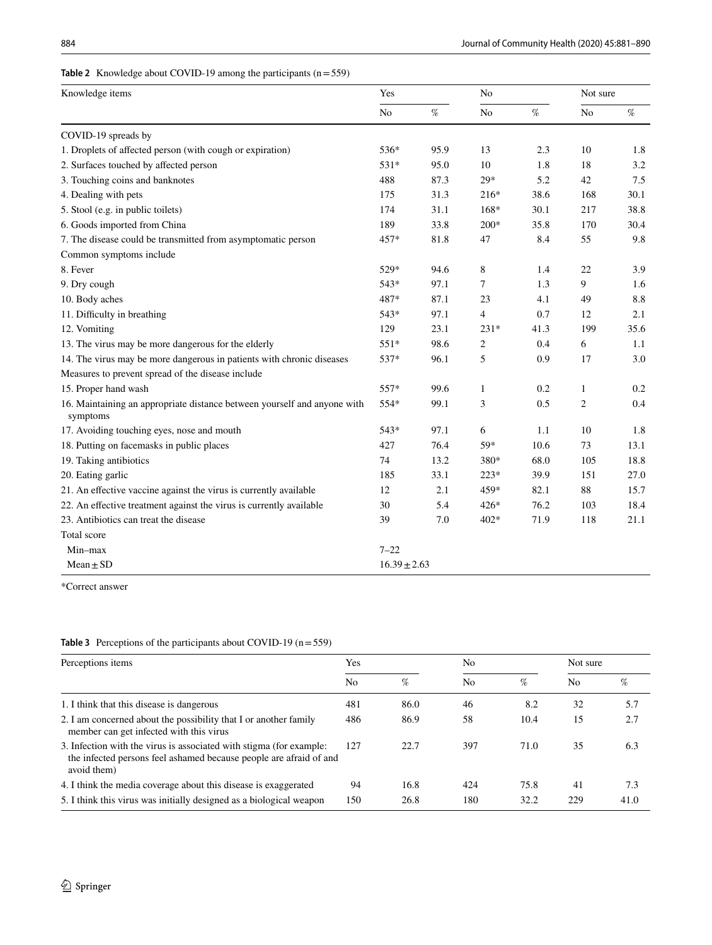# <span id="page-3-0"></span>**Table 2** Knowledge about COVID-19 among the participants (n=559)

| Knowledge items                                                                      | Yes              |      | No             |      | Not sure         |      |
|--------------------------------------------------------------------------------------|------------------|------|----------------|------|------------------|------|
|                                                                                      | No               | $\%$ | No             | $\%$ | $\rm No$         | $\%$ |
| COVID-19 spreads by                                                                  |                  |      |                |      |                  |      |
| 1. Droplets of affected person (with cough or expiration)                            | 536*             | 95.9 | 13             | 2.3  | 10               | 1.8  |
| 2. Surfaces touched by affected person                                               | 531*             | 95.0 | 10             | 1.8  | 18               | 3.2  |
| 3. Touching coins and banknotes                                                      | 488              | 87.3 | $29*$          | 5.2  | 42               | 7.5  |
| 4. Dealing with pets                                                                 | 175              | 31.3 | $216*$         | 38.6 | 168              | 30.1 |
| 5. Stool (e.g. in public toilets)                                                    | 174              | 31.1 | 168*           | 30.1 | 217              | 38.8 |
| 6. Goods imported from China                                                         | 189              | 33.8 | 200*           | 35.8 | 170              | 30.4 |
| 7. The disease could be transmitted from asymptomatic person                         | 457*             | 81.8 | 47             | 8.4  | 55               | 9.8  |
| Common symptoms include                                                              |                  |      |                |      |                  |      |
| 8. Fever                                                                             | 529*             | 94.6 | 8              | 1.4  | 22               | 3.9  |
| 9. Dry cough                                                                         | 543*             | 97.1 | 7              | 1.3  | 9                | 1.6  |
| 10. Body aches                                                                       | 487*             | 87.1 | 23             | 4.1  | 49               | 8.8  |
| 11. Difficulty in breathing                                                          | 543*             | 97.1 | $\overline{4}$ | 0.7  | 12               | 2.1  |
| 12. Vomiting                                                                         | 129              | 23.1 | $231*$         | 41.3 | 199              | 35.6 |
| 13. The virus may be more dangerous for the elderly                                  | $551*$           | 98.6 | 2              | 0.4  | 6                | 1.1  |
| 14. The virus may be more dangerous in patients with chronic diseases                | 537*             | 96.1 | 5              | 0.9  | 17               | 3.0  |
| Measures to prevent spread of the disease include                                    |                  |      |                |      |                  |      |
| 15. Proper hand wash                                                                 | 557*             | 99.6 | 1              | 0.2  | $\mathbf{1}$     | 0.2  |
| 16. Maintaining an appropriate distance between yourself and anyone with<br>symptoms | 554*             | 99.1 | 3              | 0.5  | $\boldsymbol{2}$ | 0.4  |
| 17. Avoiding touching eyes, nose and mouth                                           | 543*             | 97.1 | 6              | 1.1  | 10               | 1.8  |
| 18. Putting on facemasks in public places                                            | 427              | 76.4 | 59*            | 10.6 | 73               | 13.1 |
| 19. Taking antibiotics                                                               | 74               | 13.2 | 380*           | 68.0 | 105              | 18.8 |
| 20. Eating garlic                                                                    | 185              | 33.1 | $223*$         | 39.9 | 151              | 27.0 |
| 21. An effective vaccine against the virus is currently available                    | 12               | 2.1  | 459*           | 82.1 | 88               | 15.7 |
| 22. An effective treatment against the virus is currently available                  | 30               | 5.4  | 426*           | 76.2 | 103              | 18.4 |
| 23. Antibiotics can treat the disease                                                | 39               | 7.0  | 402*           | 71.9 | 118              | 21.1 |
| Total score                                                                          |                  |      |                |      |                  |      |
| Min-max                                                                              | $7 - 22$         |      |                |      |                  |      |
| $Mean \pm SD$                                                                        | $16.39 \pm 2.63$ |      |                |      |                  |      |

\*Correct answer

## <span id="page-3-1"></span>**Table 3** Perceptions of the participants about COVID-19 (n=559)

| Perceptions items                                                                                                                                        | Yes |      | No             |      | Not sure |      |
|----------------------------------------------------------------------------------------------------------------------------------------------------------|-----|------|----------------|------|----------|------|
|                                                                                                                                                          | No  | $\%$ | N <sub>0</sub> | %    | No.      | %    |
| 1. I think that this disease is dangerous                                                                                                                | 481 | 86.0 | 46             | 8.2  | 32       | 5.7  |
| 2. I am concerned about the possibility that I or another family<br>member can get infected with this virus                                              | 486 | 86.9 | 58             | 10.4 | 15       | 2.7  |
| 3. Infection with the virus is associated with stigma (for example:<br>the infected persons feel ashamed because people are afraid of and<br>avoid them) | 127 | 22.7 | 397            | 71.0 | 35       | 6.3  |
| 4. I think the media coverage about this disease is exaggerated                                                                                          | 94  | 16.8 | 424            | 75.8 | 41       | 7.3  |
| 5. I think this virus was initially designed as a biological weapon                                                                                      | 150 | 26.8 | 180            | 32.2 | 229      | 41.0 |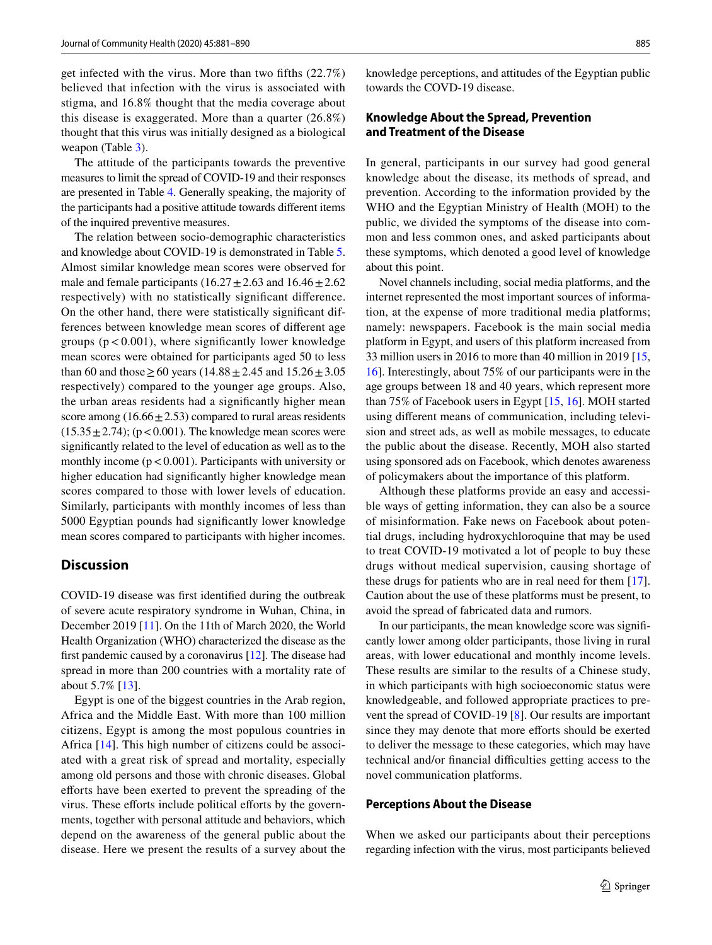get infected with the virus. More than two ffths (22.7%) believed that infection with the virus is associated with stigma, and 16.8% thought that the media coverage about this disease is exaggerated. More than a quarter (26.8%) thought that this virus was initially designed as a biological weapon (Table [3](#page-3-1)).

The attitude of the participants towards the preventive measures to limit the spread of COVID-19 and their responses are presented in Table [4.](#page-5-0) Generally speaking, the majority of the participants had a positive attitude towards diferent items of the inquired preventive measures.

The relation between socio-demographic characteristics and knowledge about COVID-19 is demonstrated in Table [5.](#page-6-0) Almost similar knowledge mean scores were observed for male and female participants (16.27 $\pm$ 2.63 and 16.46 $\pm$ 2.62 respectively) with no statistically signifcant diference. On the other hand, there were statistically signifcant differences between knowledge mean scores of diferent age groups ( $p < 0.001$ ), where significantly lower knowledge mean scores were obtained for participants aged 50 to less than 60 and those  $\geq$  60 years (14.88  $\pm$  2.45 and 15.26  $\pm$  3.05 respectively) compared to the younger age groups. Also, the urban areas residents had a signifcantly higher mean score among  $(16.66 \pm 2.53)$  compared to rural areas residents  $(15.35 \pm 2.74)$ ; (p < 0.001). The knowledge mean scores were signifcantly related to the level of education as well as to the monthly income  $(p < 0.001)$ . Participants with university or higher education had signifcantly higher knowledge mean scores compared to those with lower levels of education. Similarly, participants with monthly incomes of less than 5000 Egyptian pounds had signifcantly lower knowledge mean scores compared to participants with higher incomes.

## **Discussion**

COVID-19 disease was frst identifed during the outbreak of severe acute respiratory syndrome in Wuhan, China, in December 2019 [[11\]](#page-8-10). On the 11th of March 2020, the World Health Organization (WHO) characterized the disease as the frst pandemic caused by a coronavirus [[12\]](#page-8-11). The disease had spread in more than 200 countries with a mortality rate of about 5.7% [[13\]](#page-8-12).

Egypt is one of the biggest countries in the Arab region, Africa and the Middle East. With more than 100 million citizens, Egypt is among the most populous countries in Africa [\[14\]](#page-8-13). This high number of citizens could be associated with a great risk of spread and mortality, especially among old persons and those with chronic diseases. Global eforts have been exerted to prevent the spreading of the virus. These efforts include political efforts by the governments, together with personal attitude and behaviors, which depend on the awareness of the general public about the disease. Here we present the results of a survey about the knowledge perceptions, and attitudes of the Egyptian public towards the COVD-19 disease.

## **Knowledge About the Spread, Prevention and Treatment of the Disease**

In general, participants in our survey had good general knowledge about the disease, its methods of spread, and prevention. According to the information provided by the WHO and the Egyptian Ministry of Health (MOH) to the public, we divided the symptoms of the disease into common and less common ones, and asked participants about these symptoms, which denoted a good level of knowledge about this point.

Novel channels including, social media platforms, and the internet represented the most important sources of information, at the expense of more traditional media platforms; namely: newspapers. Facebook is the main social media platform in Egypt, and users of this platform increased from 33 million users in 2016 to more than 40 million in 2019 [[15,](#page-8-14) [16](#page-9-0)]. Interestingly, about 75% of our participants were in the age groups between 18 and 40 years, which represent more than 75% of Facebook users in Egypt [[15,](#page-8-14) [16\]](#page-9-0). MOH started using diferent means of communication, including television and street ads, as well as mobile messages, to educate the public about the disease. Recently, MOH also started using sponsored ads on Facebook, which denotes awareness of policymakers about the importance of this platform.

Although these platforms provide an easy and accessible ways of getting information, they can also be a source of misinformation. Fake news on Facebook about potential drugs, including hydroxychloroquine that may be used to treat COVID-19 motivated a lot of people to buy these drugs without medical supervision, causing shortage of these drugs for patients who are in real need for them [\[17](#page-9-1)]. Caution about the use of these platforms must be present, to avoid the spread of fabricated data and rumors.

In our participants, the mean knowledge score was signifcantly lower among older participants, those living in rural areas, with lower educational and monthly income levels. These results are similar to the results of a Chinese study, in which participants with high socioeconomic status were knowledgeable, and followed appropriate practices to prevent the spread of COVID-19 [\[8](#page-8-7)]. Our results are important since they may denote that more efforts should be exerted to deliver the message to these categories, which may have technical and/or financial difficulties getting access to the novel communication platforms.

#### **Perceptions About the Disease**

When we asked our participants about their perceptions regarding infection with the virus, most participants believed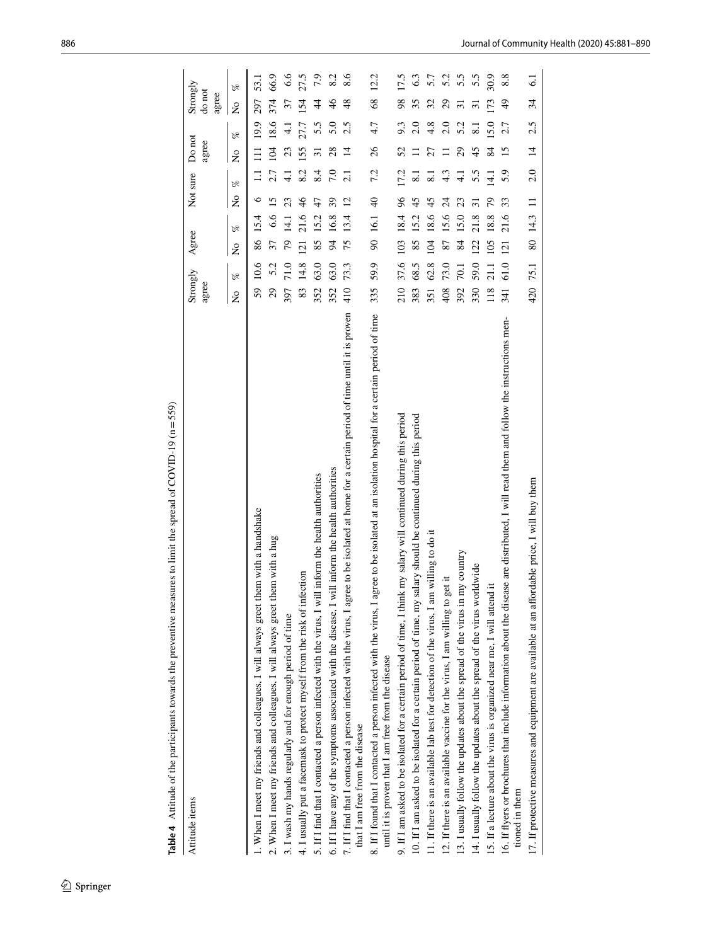| Attitude items                                                                                                                                                                                      | Strongly<br>agree |                             | Agree          |      | Not sure                                   |                     | Do not<br>agree              |                     | Strongly<br>do not<br>agree |               |
|-----------------------------------------------------------------------------------------------------------------------------------------------------------------------------------------------------|-------------------|-----------------------------|----------------|------|--------------------------------------------|---------------------|------------------------------|---------------------|-----------------------------|---------------|
|                                                                                                                                                                                                     | $\frac{1}{2}$     | $\mathcal{S}_{\mathcal{C}}$ | $\tilde{z}$    | P,   | $\mathcal{S}_{\mathcal{C}}$<br>$\tilde{z}$ |                     | $\mathscr{C}$<br>$\tilde{z}$ |                     | $\tilde{z}$                 | $\mathscr{C}$ |
| 1. When I meet my friends and colleagues, I will always greet them with a handshake                                                                                                                 | 59                | 10.6                        | 86             | 15.4 | $\circ$                                    | $\Xi$               | $\Xi$                        | 19.9                | 297                         | 53.1          |
| 2. When I meet my friends and colleagues, I will always greet them with a hug                                                                                                                       | 29                | 5.2                         | 37             | 6.6  | 15                                         | 2.7                 | 104                          | 18.6                | 374                         | 66.9          |
| 3. I wash my hands regularly and for enough period of time                                                                                                                                          | 397               | 71.0                        | 79             | 14.1 | 23                                         | $\frac{1}{4}$       | 23                           | $\frac{1}{4}$       | 37                          | 6.6           |
| 4. I usually put a facemask to protect myself from the risk of infection                                                                                                                            | 83                | 14.8                        | 121            | 21.6 | $\frac{4}{6}$                              | 8.2                 | 155                          | 27.7                | 154                         | 27.5          |
| 5. If I find that I contacted a person infected with the virus, I will inform the health authorities                                                                                                | 352               | 63.0                        | 85             | 15.2 | 47                                         | 8.4                 | 51                           | 5.5                 | $\overline{4}$              | 7.9           |
| 6. If I have any of the symptoms associated with the disease, I will inform the health authorities                                                                                                  | 352               | 63.0                        | $\overline{6}$ | 16.8 | 39                                         | 7.0                 | 28                           | 5.0                 | $\frac{4}{6}$               | 8.2           |
| 7. If I find that I contacted a person infected with the virus, I agree to be isolated at home for a certain period of time until it is proven<br>that I am free from the disease                   | 410               | 73.3                        | 75             | 13.4 | $\overline{2}$                             | $\overline{2.1}$    | 14                           | 2.5                 | 48                          |               |
| 8. If I found that I contacted a person infected with the virus, I agree to be isolated at an isolation hospital for a certain period of time<br>until it is proven that I am free from the disease | 335               | 59.9                        | $\infty$       | 16.1 | $\frac{1}{2}$                              | 7.2                 | 26                           | 4.7                 | 68                          | 12.2          |
| 9. If I am asked to be isolated for a certain period of time, I think my salary will continued during this period                                                                                   | 210               | 37.6                        | 103            | 18.4 | $\frac{6}{2}$                              | 17.2                | 52                           | 9.3                 | 98                          | 17.5          |
| 10. If I am asked to be isolated for a certain period of time, my salary should be continued during this period                                                                                     | 383               | 68.5                        | 85             | 15.2 | 45                                         | $\overline{\infty}$ |                              | 2.0                 | 35                          | 63            |
| 11. If there is an available lab test for detection of the virus, I am willing to do it                                                                                                             | 351               | 62.8                        | 104            | 18.6 | 45                                         | $\overline{\infty}$ | 27                           | 4.8                 | 32                          | 5.7           |
| 12. If there is an available vaccine for the virus, I am willing to get it                                                                                                                          | 408               | 73.0                        | 87             | 15.6 | $\overline{\mathcal{L}}$                   | 4.3                 |                              | 2.0                 | $\mathcal{L}^{\mathcal{O}}$ | 5.2           |
| my country<br>13. I usually follow the updates about the spread of the virus in                                                                                                                     | 392               | 70.1                        | 84             | 15.0 | 23                                         | $\overline{4}$      | $\overline{c}$               | 5.2                 | ಸ                           | 5.5           |
| 14. I usually follow the updates about the spread of the virus worldwide                                                                                                                            | 330               | 59.0                        | 122            | 21.8 | ಸ                                          | 5.5                 | 45                           | $\overline{\infty}$ | ಸ                           | 5.5           |
| 15. If a lecture about the virus is organized near me, I will attend it                                                                                                                             | 118               | 21.1                        | 105            | 18.8 | 79                                         | $\frac{1}{4}$       | 84                           | 5.0                 | 173                         | 30.9          |
| 16. If flyers or brochures that include information about the disease are distributed, I will read them and follow the instructions men-<br>tioned in them                                          | 341               | 61.0                        | 121            | 21.6 | 33                                         | 5.9                 | $\overline{15}$              | 2.7                 | $\frac{1}{2}$               | 8.8           |
| 17. If protective measures and equipment are available at an affordable price, I will buy them                                                                                                      | 420               | 75.1                        | 80 14.3        |      | $\Xi$                                      | 2.0                 | $\overline{4}$               | 2.5                 | 34                          | ತ             |

<span id="page-5-0"></span>Table 4 Attitude of the participants towards the preventive measures to limit the spread of COVID-19 (n=559) **Table 4** Attitude of the participants towards the preventive measures to limit the spread of COVID-19 (n=559)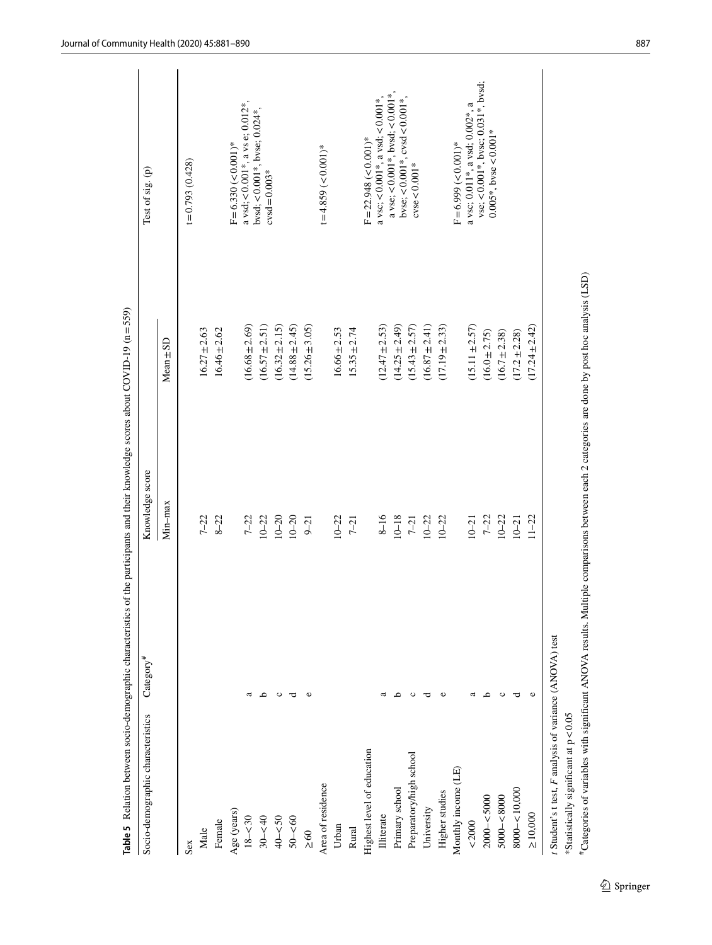|                                                         |                         | Table 5 Relation between socio-demographic characteristics of the participants and their knowledge scores about COVID-19 ( $n = 559$ )      |                    |                                                               |
|---------------------------------------------------------|-------------------------|---------------------------------------------------------------------------------------------------------------------------------------------|--------------------|---------------------------------------------------------------|
| Socio-demographic characteristics                       | $\text{Cate}$ gory $^*$ | Knowledge score                                                                                                                             |                    | Test of sig. (p)                                              |
|                                                         |                         | Min-max                                                                                                                                     | $Mean \pm SD$      |                                                               |
| Sex                                                     |                         |                                                                                                                                             |                    | $t = 0.793(0.428)$                                            |
| Male                                                    |                         | $7 - 22$                                                                                                                                    | $16.27 \pm 2.63$   |                                                               |
| Female                                                  |                         | $8 - 22$                                                                                                                                    | $16.46 \pm 2.62$   |                                                               |
| Age (years)                                             |                         |                                                                                                                                             |                    | $F = 6.330 (-0.001)^*$                                        |
| $18 - 30$                                               | a                       | $7 - 22$                                                                                                                                    | $(16.68 \pm 2.69)$ | $a \text{ vsd}; < 0.001$ *, $a \text{ vs}$ e; 0.012*          |
| $30 - 40$                                               | م                       | $10 - 22$                                                                                                                                   | $(16.57 \pm 2.51)$ | bvsd; < $0.001$ *, bvse; $0.024$ *,<br>$c$ vsd=0.003*         |
| $40 - 50$                                               | $\circ$                 | $10 - 20$                                                                                                                                   | $(16.32 \pm 2.15)$ |                                                               |
| $50 - 60$                                               | ರ                       | $10 - 20$                                                                                                                                   | $(14.88 \pm 2.45)$ |                                                               |
| $\leq 60$                                               | Φ                       | $9 - 21$                                                                                                                                    | $(15.26 \pm 3.05)$ |                                                               |
| Area of residence                                       |                         |                                                                                                                                             |                    | $t = 4.859 \approx 0.001$ <sup>*</sup>                        |
| Urban                                                   |                         | $10 - 22$                                                                                                                                   | $16.66 \pm 2.53$   |                                                               |
| Rural                                                   |                         | $7 - 21$                                                                                                                                    | $15.35 \pm 2.74$   |                                                               |
| Highest level of education                              |                         |                                                                                                                                             |                    | $F = 22.948$ (< 0.001)*                                       |
| <b>Illiterate</b>                                       | a                       | $8 - 16$                                                                                                                                    | $(12.47 \pm 2.53)$ | $a$ vsc; < 0.001*, $a$ vsd; < 0.001*,                         |
| Primary school                                          | م                       | $10 - 18$                                                                                                                                   | $(14.25 \pm 2.49)$ | $a$ vse; < 0.001*, bvsd; < 0.001*,                            |
| Preparatory/high school                                 | ပ                       | $7 - 21$                                                                                                                                    | $(15.43 \pm 2.57)$ | byse; < $0.001$ *, cysd < $0.001$ *, cysd < $0.001$ *,        |
| University                                              | ರ                       | $10 - 22$                                                                                                                                   | $(16.87 \pm 2.41)$ |                                                               |
| Higher studies                                          |                         | $10 - 22$                                                                                                                                   | $(17.19 \pm 2.33)$ |                                                               |
| Monthly income (LE)                                     |                         |                                                                                                                                             |                    | $F = 6.999 \, (< 0.001)^*$                                    |
| $<\!2000$                                               | ದ                       | $10 - 21$                                                                                                                                   | $(15.11 \pm 2.57)$ | a vsc; 0.011*, a vsd; 0.002*, a                               |
| $2000 - 5000$                                           | ٩                       | $7 - 22$                                                                                                                                    | $(16.0 \pm 2.75)$  | vse; <0.001*, bvsc; 0.031*, bvsd;<br>$0.005*$ , byse < 0.001* |
| $5000 - 8000$                                           | $\circ$                 | $10 - 22$                                                                                                                                   | $(16.7 \pm 2.38)$  |                                                               |
| $8000 - 10,000$                                         | ರ                       | $10 - 21$                                                                                                                                   | $(17.2 \pm 2.28)$  |                                                               |
| $\geq 10,000$                                           |                         | $11 - 22$                                                                                                                                   | $(17.24 \pm 2.42)$ |                                                               |
| t Student's t test, F analysis of variance (ANOVA) test |                         |                                                                                                                                             |                    |                                                               |
| *Statistically significant at $p < 0.05$                |                         |                                                                                                                                             |                    |                                                               |
|                                                         |                         | #Categories of variables with significant ANOVA results. Multiple comparisons between each 2 categories are done by post hoc analysis (LSD) |                    |                                                               |

<span id="page-6-0"></span> $\underline{\textcircled{\tiny 2}}$  Springer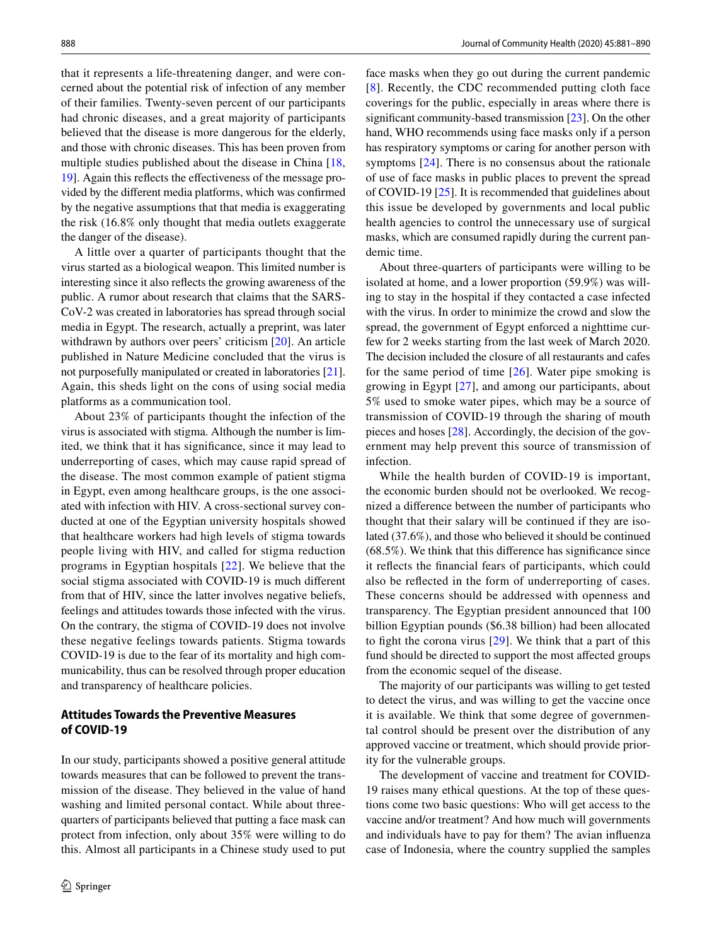that it represents a life-threatening danger, and were concerned about the potential risk of infection of any member of their families. Twenty-seven percent of our participants had chronic diseases, and a great majority of participants believed that the disease is more dangerous for the elderly, and those with chronic diseases. This has been proven from multiple studies published about the disease in China [\[18,](#page-9-2) [19](#page-9-3)]. Again this refects the efectiveness of the message provided by the diferent media platforms, which was confrmed by the negative assumptions that that media is exaggerating the risk (16.8% only thought that media outlets exaggerate the danger of the disease).

A little over a quarter of participants thought that the virus started as a biological weapon. This limited number is interesting since it also refects the growing awareness of the public. A rumor about research that claims that the SARS-CoV-2 was created in laboratories has spread through social media in Egypt. The research, actually a preprint, was later withdrawn by authors over peers' criticism [\[20](#page-9-4)]. An article published in Nature Medicine concluded that the virus is not purposefully manipulated or created in laboratories [\[21](#page-9-5)]. Again, this sheds light on the cons of using social media platforms as a communication tool.

About 23% of participants thought the infection of the virus is associated with stigma. Although the number is limited, we think that it has signifcance, since it may lead to underreporting of cases, which may cause rapid spread of the disease. The most common example of patient stigma in Egypt, even among healthcare groups, is the one associated with infection with HIV. A cross-sectional survey conducted at one of the Egyptian university hospitals showed that healthcare workers had high levels of stigma towards people living with HIV, and called for stigma reduction programs in Egyptian hospitals [[22\]](#page-9-6). We believe that the social stigma associated with COVID-19 is much diferent from that of HIV, since the latter involves negative beliefs, feelings and attitudes towards those infected with the virus. On the contrary, the stigma of COVID-19 does not involve these negative feelings towards patients. Stigma towards COVID-19 is due to the fear of its mortality and high communicability, thus can be resolved through proper education and transparency of healthcare policies.

## **Attitudes Towards the Preventive Measures of COVID‑19**

In our study, participants showed a positive general attitude towards measures that can be followed to prevent the transmission of the disease. They believed in the value of hand washing and limited personal contact. While about threequarters of participants believed that putting a face mask can protect from infection, only about 35% were willing to do this. Almost all participants in a Chinese study used to put face masks when they go out during the current pandemic [[8\]](#page-8-7). Recently, the CDC recommended putting cloth face coverings for the public, especially in areas where there is signifcant community-based transmission [[23](#page-9-7)]. On the other hand, WHO recommends using face masks only if a person has respiratory symptoms or caring for another person with symptoms [\[24\]](#page-9-8). There is no consensus about the rationale of use of face masks in public places to prevent the spread of COVID-19 [[25\]](#page-9-9). It is recommended that guidelines about this issue be developed by governments and local public health agencies to control the unnecessary use of surgical masks, which are consumed rapidly during the current pandemic time.

About three-quarters of participants were willing to be isolated at home, and a lower proportion (59.9%) was willing to stay in the hospital if they contacted a case infected with the virus. In order to minimize the crowd and slow the spread, the government of Egypt enforced a nighttime curfew for 2 weeks starting from the last week of March 2020. The decision included the closure of all restaurants and cafes for the same period of time  $[26]$ . Water pipe smoking is growing in Egypt [\[27\]](#page-9-11), and among our participants, about 5% used to smoke water pipes, which may be a source of transmission of COVID-19 through the sharing of mouth pieces and hoses [\[28](#page-9-12)]. Accordingly, the decision of the government may help prevent this source of transmission of infection.

While the health burden of COVID-19 is important, the economic burden should not be overlooked. We recognized a diference between the number of participants who thought that their salary will be continued if they are isolated (37.6%), and those who believed it should be continued (68.5%). We think that this diference has signifcance since it refects the fnancial fears of participants, which could also be refected in the form of underreporting of cases. These concerns should be addressed with openness and transparency. The Egyptian president announced that 100 billion Egyptian pounds (\$6.38 billion) had been allocated to fght the corona virus [[29\]](#page-9-13). We think that a part of this fund should be directed to support the most afected groups from the economic sequel of the disease.

The majority of our participants was willing to get tested to detect the virus, and was willing to get the vaccine once it is available. We think that some degree of governmental control should be present over the distribution of any approved vaccine or treatment, which should provide priority for the vulnerable groups.

The development of vaccine and treatment for COVID-19 raises many ethical questions. At the top of these questions come two basic questions: Who will get access to the vaccine and/or treatment? And how much will governments and individuals have to pay for them? The avian infuenza case of Indonesia, where the country supplied the samples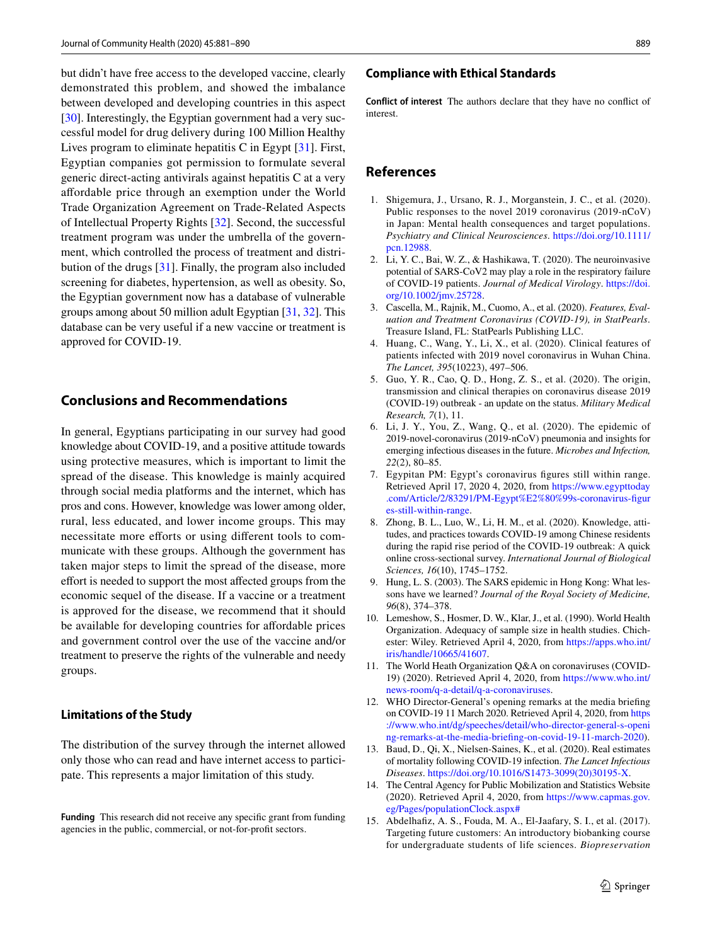but didn't have free access to the developed vaccine, clearly demonstrated this problem, and showed the imbalance between developed and developing countries in this aspect [\[30](#page-9-14)]. Interestingly, the Egyptian government had a very successful model for drug delivery during 100 Million Healthy Lives program to eliminate hepatitis C in Egypt [[31\]](#page-9-15). First, Egyptian companies got permission to formulate several generic direct-acting antivirals against hepatitis C at a very afordable price through an exemption under the World Trade Organization Agreement on Trade-Related Aspects of Intellectual Property Rights [[32\]](#page-9-16). Second, the successful treatment program was under the umbrella of the government, which controlled the process of treatment and distribution of the drugs [\[31](#page-9-15)]. Finally, the program also included screening for diabetes, hypertension, as well as obesity. So, the Egyptian government now has a database of vulnerable groups among about 50 million adult Egyptian [\[31,](#page-9-15) [32\]](#page-9-16). This database can be very useful if a new vaccine or treatment is approved for COVID-19.

## **Conclusions and Recommendations**

In general, Egyptians participating in our survey had good knowledge about COVID-19, and a positive attitude towards using protective measures, which is important to limit the spread of the disease. This knowledge is mainly acquired through social media platforms and the internet, which has pros and cons. However, knowledge was lower among older, rural, less educated, and lower income groups. This may necessitate more efforts or using different tools to communicate with these groups. Although the government has taken major steps to limit the spread of the disease, more efort is needed to support the most afected groups from the economic sequel of the disease. If a vaccine or a treatment is approved for the disease, we recommend that it should be available for developing countries for affordable prices and government control over the use of the vaccine and/or treatment to preserve the rights of the vulnerable and needy groups.

#### **Limitations of the Study**

The distribution of the survey through the internet allowed only those who can read and have internet access to participate. This represents a major limitation of this study.

**Funding** This research did not receive any specifc grant from funding agencies in the public, commercial, or not-for-proft sectors.

#### **Compliance with Ethical Standards**

**Conflict of interest** The authors declare that they have no confict of interest.

## **References**

- <span id="page-8-0"></span>1. Shigemura, J., Ursano, R. J., Morganstein, J. C., et al. (2020). Public responses to the novel 2019 coronavirus (2019-nCoV) in Japan: Mental health consequences and target populations. *Psychiatry and Clinical Neurosciences*. [https://doi.org/10.1111/](https://doi.org/10.1111/pcn.12988) [pcn.12988](https://doi.org/10.1111/pcn.12988).
- <span id="page-8-1"></span>2. Li, Y. C., Bai, W. Z., & Hashikawa, T. (2020). The neuroinvasive potential of SARS-CoV2 may play a role in the respiratory failure of COVID-19 patients. *Journal of Medical Virology*. [https://doi.](https://doi.org/10.1002/jmv.25728) [org/10.1002/jmv.25728](https://doi.org/10.1002/jmv.25728).
- <span id="page-8-2"></span>3. Cascella, M., Rajnik, M., Cuomo, A., et al. (2020). *Features, Evaluation and Treatment Coronavirus (COVID-19), in StatPearls*. Treasure Island, FL: StatPearls Publishing LLC.
- <span id="page-8-3"></span>4. Huang, C., Wang, Y., Li, X., et al. (2020). Clinical features of patients infected with 2019 novel coronavirus in Wuhan China. *The Lancet, 395*(10223), 497–506.
- <span id="page-8-4"></span>5. Guo, Y. R., Cao, Q. D., Hong, Z. S., et al. (2020). The origin, transmission and clinical therapies on coronavirus disease 2019 (COVID-19) outbreak - an update on the status. *Military Medical Research, 7*(1), 11.
- <span id="page-8-5"></span>6. Li, J. Y., You, Z., Wang, Q., et al. (2020). The epidemic of 2019-novel-coronavirus (2019-nCoV) pneumonia and insights for emerging infectious diseases in the future. *Microbes and Infection, 22*(2), 80–85.
- <span id="page-8-6"></span>7. Egypitan PM: Egypt's coronavirus fgures still within range. Retrieved April 17, 2020 4, 2020, from [https://www.egypttoday](https://www.egypttoday.com/Article/2/83291/PM-Egypt%E2%80%99s-coronavirus-figures-still-within-range) [.com/Article/2/83291/PM-Egypt%E2%80%99s-coronavirus-fgur](https://www.egypttoday.com/Article/2/83291/PM-Egypt%E2%80%99s-coronavirus-figures-still-within-range) [es-still-within-range.](https://www.egypttoday.com/Article/2/83291/PM-Egypt%E2%80%99s-coronavirus-figures-still-within-range)
- <span id="page-8-7"></span>8. Zhong, B. L., Luo, W., Li, H. M., et al. (2020). Knowledge, attitudes, and practices towards COVID-19 among Chinese residents during the rapid rise period of the COVID-19 outbreak: A quick online cross-sectional survey. *International Journal of Biological Sciences, 16*(10), 1745–1752.
- <span id="page-8-8"></span>9. Hung, L. S. (2003). The SARS epidemic in Hong Kong: What lessons have we learned? *Journal of the Royal Society of Medicine, 96*(8), 374–378.
- <span id="page-8-9"></span>10. Lemeshow, S., Hosmer, D. W., Klar, J., et al. (1990). World Health Organization. Adequacy of sample size in health studies. Chichester: Wiley. Retrieved April 4, 2020, from [https://apps.who.int/](https://apps.who.int/iris/handle/10665/41607) [iris/handle/10665/41607](https://apps.who.int/iris/handle/10665/41607).
- <span id="page-8-10"></span>11. The World Heath Organization Q&A on coronaviruses (COVID-19) (2020). Retrieved April 4, 2020, from [https://www.who.int/](https://www.who.int/news-room/q-a-detail/q-a-coronaviruses) [news-room/q-a-detail/q-a-coronaviruses.](https://www.who.int/news-room/q-a-detail/q-a-coronaviruses)
- <span id="page-8-11"></span>12. WHO Director-General's opening remarks at the media briefng on COVID-19 11 March 2020. Retrieved April 4, 2020, from [https](https://www.who.int/dg/speeches/detail/who-director-general-s-opening-remarks-at-the-media-briefing-on-covid-19-11-march-2020) [://www.who.int/dg/speeches/detail/who-director-general-s-openi](https://www.who.int/dg/speeches/detail/who-director-general-s-opening-remarks-at-the-media-briefing-on-covid-19-11-march-2020) [ng-remarks-at-the-media-briefing-on-covid-19-11-march-2020\)](https://www.who.int/dg/speeches/detail/who-director-general-s-opening-remarks-at-the-media-briefing-on-covid-19-11-march-2020).
- <span id="page-8-12"></span>13. Baud, D., Qi, X., Nielsen-Saines, K., et al. (2020). Real estimates of mortality following COVID-19 infection. *The Lancet Infectious Diseases*. [https://doi.org/10.1016/S1473-3099\(20\)30195-X.](https://doi.org/10.1016/S1473-3099(20)30195-X)
- <span id="page-8-13"></span>14. The Central Agency for Public Mobilization and Statistics Website (2020). Retrieved April 4, 2020, from [https://www.capmas.gov.](https://www.capmas.gov.eg/Pages/populationClock.aspx#) [eg/Pages/populationClock.aspx#](https://www.capmas.gov.eg/Pages/populationClock.aspx#)
- <span id="page-8-14"></span>15. Abdelhafz, A. S., Fouda, M. A., El-Jaafary, S. I., et al. (2017). Targeting future customers: An introductory biobanking course for undergraduate students of life sciences. *Biopreservation*